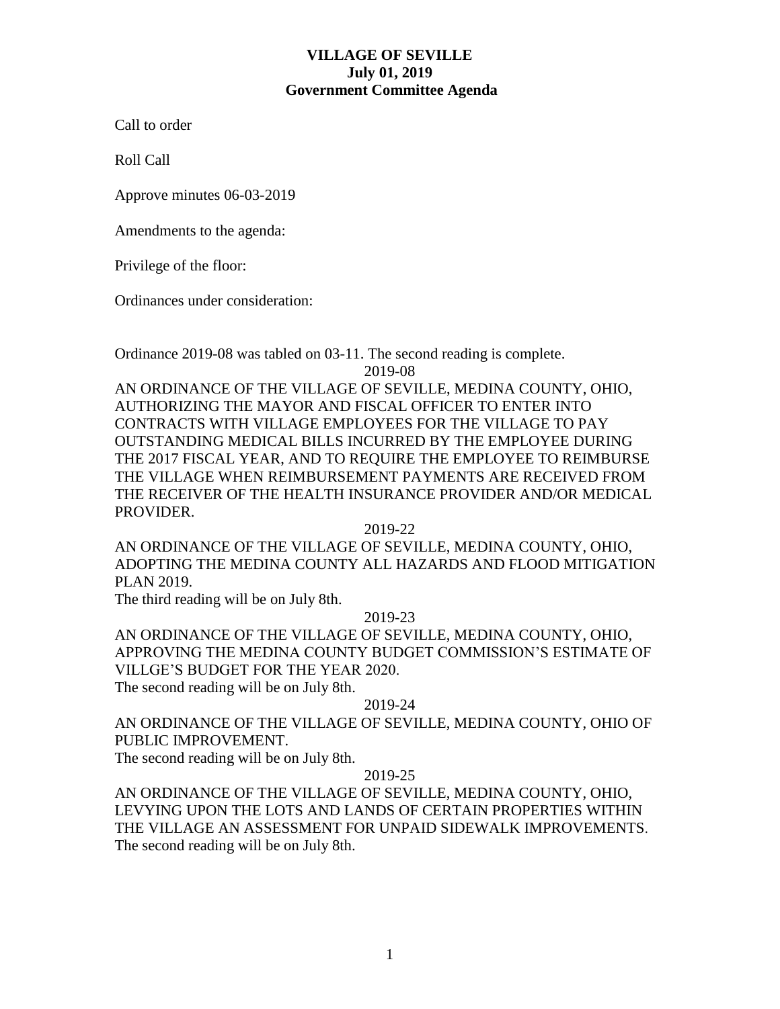# **VILLAGE OF SEVILLE July 01, 2019 Government Committee Agenda**

Call to order

Roll Call

Approve minutes 06-03-2019

Amendments to the agenda:

Privilege of the floor:

Ordinances under consideration:

Ordinance 2019-08 was tabled on 03-11. The second reading is complete.

2019-08

AN ORDINANCE OF THE VILLAGE OF SEVILLE, MEDINA COUNTY, OHIO, AUTHORIZING THE MAYOR AND FISCAL OFFICER TO ENTER INTO CONTRACTS WITH VILLAGE EMPLOYEES FOR THE VILLAGE TO PAY OUTSTANDING MEDICAL BILLS INCURRED BY THE EMPLOYEE DURING THE 2017 FISCAL YEAR, AND TO REQUIRE THE EMPLOYEE TO REIMBURSE THE VILLAGE WHEN REIMBURSEMENT PAYMENTS ARE RECEIVED FROM THE RECEIVER OF THE HEALTH INSURANCE PROVIDER AND/OR MEDICAL PROVIDER.

2019-22

AN ORDINANCE OF THE VILLAGE OF SEVILLE, MEDINA COUNTY, OHIO, ADOPTING THE MEDINA COUNTY ALL HAZARDS AND FLOOD MITIGATION PLAN 2019.

The third reading will be on July 8th.

2019-23

AN ORDINANCE OF THE VILLAGE OF SEVILLE, MEDINA COUNTY, OHIO, APPROVING THE MEDINA COUNTY BUDGET COMMISSION'S ESTIMATE OF VILLGE'S BUDGET FOR THE YEAR 2020.

The second reading will be on July 8th.

## 2019-24

AN ORDINANCE OF THE VILLAGE OF SEVILLE, MEDINA COUNTY, OHIO OF PUBLIC IMPROVEMENT.

The second reading will be on July 8th.

2019-25

AN ORDINANCE OF THE VILLAGE OF SEVILLE, MEDINA COUNTY, OHIO, LEVYING UPON THE LOTS AND LANDS OF CERTAIN PROPERTIES WITHIN THE VILLAGE AN ASSESSMENT FOR UNPAID SIDEWALK IMPROVEMENTS. The second reading will be on July 8th.